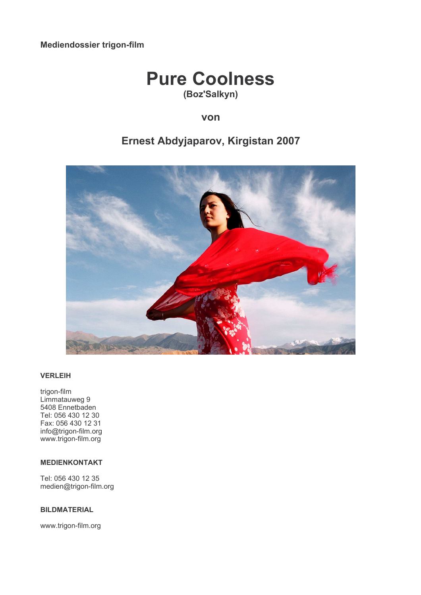Mediendossier trigon-film

# **Pure Coolness** (Boz'Salkyn)

# von

# Ernest Abdyjaparov, Kirgistan 2007



# **VERLEIH**

trigon-film Limmatauweg 9 5408 Ennetbaden Tel: 056 430 12 30 Fax: 056 430 12 31 info@trigon-film.org www.trigon-film.org

# **MEDIENKONTAKT**

Tel: 056 430 12 35 medien@trigon-film.org

# **BILDMATERIAL**

www.trigon-film.org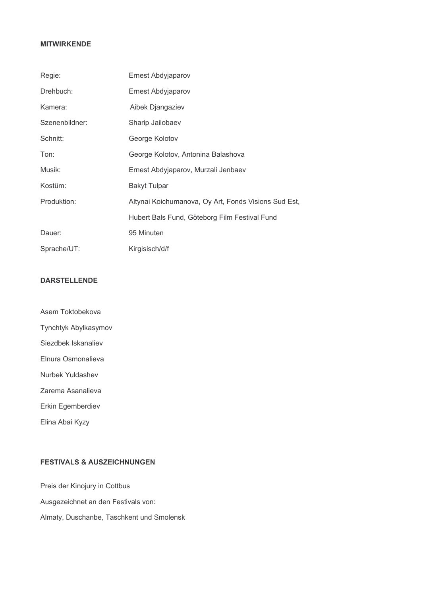# **MITWIRKENDE**

| Regie:         | Ernest Abdyjaparov                                   |
|----------------|------------------------------------------------------|
| Drehbuch:      | Ernest Abdyjaparov                                   |
| Kamera:        | Aibek Djangaziev                                     |
| Szenenbildner: | Sharip Jailobaev                                     |
| Schnitt:       | George Kolotov                                       |
| Ton:           | George Kolotov, Antonina Balashova                   |
| Musik:         | Ernest Abdyjaparov, Murzali Jenbaev                  |
| Kostüm:        | <b>Bakyt Tulpar</b>                                  |
| Produktion:    | Altynai Koichumanova, Oy Art, Fonds Visions Sud Est, |
|                | Hubert Bals Fund, Göteborg Film Festival Fund        |
| Dauer:         | 95 Minuten                                           |
| Sprache/UT:    | Kirgisisch/d/f                                       |

# **DARSTELLENDE**

Asem Toktobekova Tynchtyk Abylkasymov Siezdbek Iskanaliev Elnura Osmonalieva Nurbek Yuldashev Zarema Asanalieva Erkin Egemberdiev

Elina Abai Kyzy

**FESTIVALS & AUSZEICHNUNGEN** 

Preis der Kinojury in Cottbus Ausgezeichnet an den Festivals von: Almaty, Duschanbe, Taschkent und Smolensk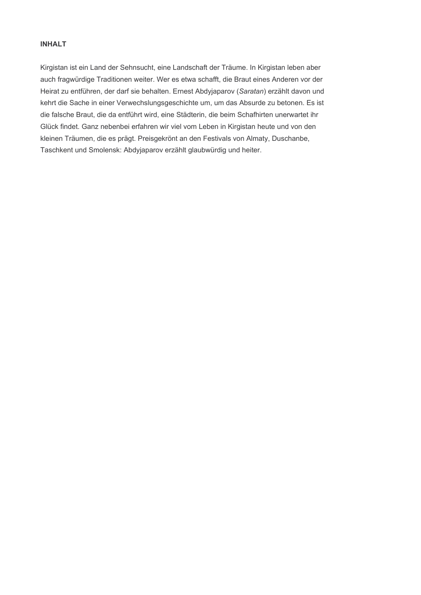# **INHALT**

Kirgistan ist ein Land der Sehnsucht, eine Landschaft der Träume. In Kirgistan leben aber auch fragwürdige Traditionen weiter. Wer es etwa schafft, die Braut eines Anderen vor der Heirat zu entführen, der darf sie behalten. Ernest Abdyjaparov (Saratan) erzählt davon und kehrt die Sache in einer Verwechslungsgeschichte um, um das Absurde zu betonen. Es ist die falsche Braut, die da entführt wird, eine Städterin, die beim Schafhirten unerwartet ihr Glück findet. Ganz nebenbei erfahren wir viel vom Leben in Kirgistan heute und von den kleinen Träumen, die es prägt. Preisgekrönt an den Festivals von Almaty, Duschanbe, Taschkent und Smolensk: Abdyjaparov erzählt glaubwürdig und heiter.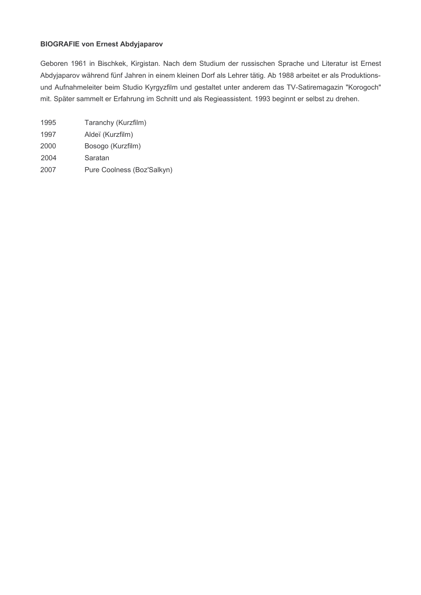# **BIOGRAFIE von Ernest Abdyjaparov**

Geboren 1961 in Bischkek, Kirgistan. Nach dem Studium der russischen Sprache und Literatur ist Ernest Abdyjaparov während fünf Jahren in einem kleinen Dorf als Lehrer tätig. Ab 1988 arbeitet er als Produktionsund Aufnahmeleiter beim Studio Kyrgyzfilm und gestaltet unter anderem das TV-Satiremagazin "Korogoch" mit. Später sammelt er Erfahrung im Schnitt und als Regieassistent. 1993 beginnt er selbst zu drehen.

| Taranchy (Kurzfilm)<br>1995        |  |
|------------------------------------|--|
| 1997<br>Aldeï (Kurzfilm)           |  |
| 2000<br>Bosogo (Kurzfilm)          |  |
| 2004<br>Saratan                    |  |
| Pure Coolness (Boz'Salkyn)<br>2007 |  |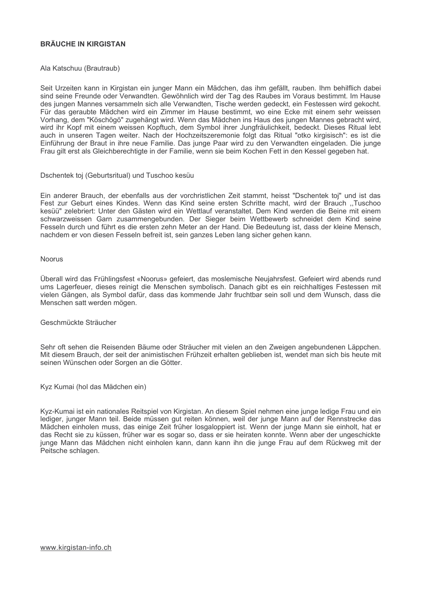# **BRÄUCHE IN KIRGISTAN**

Ala Katschuu (Brautraub)

Seit Urzeiten kann in Kirgistan ein junger Mann ein Mädchen, das ihm gefällt, rauben. Ihm behilflich dabei sind seine Freunde oder Verwandten. Gewöhnlich wird der Tag des Raubes im Voraus bestimmt. Im Hause des jungen Mannes versammeln sich alle Verwandten, Tische werden gedeckt, ein Festessen wird gekocht. Für das geraubte Mädchen wird ein Zimmer im Hause bestimmt, wo eine Ecke mit einem sehr weissen Vorhang, dem "Köschögö" zugehängt wird. Wenn das Mädchen ins Haus des jungen Mannes gebracht wird, wird ihr Kopf mit einem weissen Kopftuch, dem Symbol ihrer Jungfräulichkeit, bedeckt. Dieses Ritual lebt auch in unseren Tagen weiter. Nach der Hochzeitszeremonie folgt das Ritual "otko kirgisisch": es ist die Einführung der Braut in ihre neue Familie. Das junge Paar wird zu den Verwandten eingeladen. Die junge Frau gilt erst als Gleichberechtigte in der Familie, wenn sie beim Kochen Fett in den Kessel gegeben hat.

#### Dschentek toj (Geburtsritual) und Tuschoo kesüu

Ein anderer Brauch, der ebenfalls aus der vorchristlichen Zeit stammt, heisst "Dschentek toj" und ist das Fest zur Geburt eines Kindes. Wenn das Kind seine ersten Schritte macht, wird der Brauch "Tuschoo kesüü" zelebriert: Unter den Gästen wird ein Wettlauf veranstaltet. Dem Kind werden die Beine mit einem schwarzweissen Garn zusammengebunden. Der Sieger beim Wettbewerb schneidet dem Kind seine Fesseln durch und führt es die ersten zehn Meter an der Hand. Die Bedeutung ist, dass der kleine Mensch, nachdem er von diesen Fesseln befreit ist, sein ganzes Leben lang sicher gehen kann.

#### Noorus

Überall wird das Frühlingsfest «Noorus» gefeiert, das moslemische Neujahrsfest. Gefeiert wird abends rund ums Lagerfeuer, dieses reinigt die Menschen symbolisch. Danach gibt es ein reichhaltiges Festessen mit vielen Gängen, als Symbol dafür, dass das kommende Jahr fruchtbar sein soll und dem Wunsch, dass die Menschen satt werden mögen.

### Geschmückte Sträucher

Sehr oft sehen die Reisenden Bäume oder Sträucher mit vielen an den Zweigen angebundenen Läppchen. Mit diesem Brauch, der seit der animistischen Frühzeit erhalten geblieben ist, wendet man sich bis heute mit seinen Wünschen oder Sorgen an die Götter.

Kyz Kumai (hol das Mädchen ein)

Kyz-Kumai ist ein nationales Reitspiel von Kirgistan. An diesem Spiel nehmen eine junge ledige Frau und ein lediger, junger Mann teil. Beide müssen gut reiten können, weil der junge Mann auf der Rennstrecke das Mädchen einholen muss, das einige Zeit früher losgaloppiert ist. Wenn der junge Mann sie einholt, hat er das Recht sie zu küssen, früher war es sogar so, dass er sie heiraten konnte. Wenn aber der ungeschickte junge Mann das Mädchen nicht einholen kann, dann kann ihn die junge Frau auf dem Rückweg mit der Peitsche schlagen.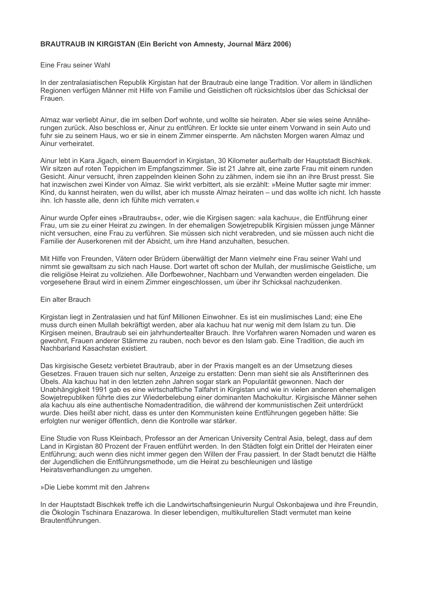## BRAUTRAUB IN KIRGISTAN (Ein Bericht von Amnesty, Journal März 2006)

#### Eine Frau seiner Wahl

In der zentralasiatischen Republik Kirgistan hat der Brautraub eine lange Tradition. Vor allem in ländlichen Regionen verfügen Männer mit Hilfe von Familie und Geistlichen oft rücksichtslos über das Schicksal der Frauen

Almaz war verliebt Ainur, die im selben Dorf wohnte, und wollte sie heiraten. Aber sie wies seine Annäherungen zurück. Also beschloss er, Ainur zu entführen. Er lockte sie unter einem Vorwand in sein Auto und fuhr sie zu seinem Haus, wo er sie in einem Zimmer einsperrte. Am nächsten Morgen waren Almaz und Ainur verheiratet.

Ainur lebt in Kara Jigach, einem Bauerndorf in Kirgistan, 30 Kilometer außerhalb der Hauptstadt Bischkek. Wir sitzen auf roten Teppichen im Empfangszimmer. Sie ist 21 Jahre alt, eine zarte Frau mit einem runden Gesicht. Ainur versucht, ihren zappelnden kleinen Sohn zu zähmen, indem sie ihn an ihre Brust presst. Sie hat inzwischen zwei Kinder von Almaz. Sie wirkt verbittert, als sie erzählt: »Meine Mutter sagte mir immer: Kind, du kannst heiraten, wen du willst, aber ich musste Almaz heiraten – und das wollte ich nicht, Ich hasste ihn. Ich hasste alle, denn ich fühlte mich verraten.«

Ainur wurde Opfer eines »Brautraubs«, oder, wie die Kirgisen sagen: »ala kachuu«, die Entführung einer Frau, um sie zu einer Heirat zu zwingen. In der ehemaligen Sowjetrepublik Kirgisien müssen junge Männer nicht versuchen, eine Frau zu verführen. Sie müssen sich nicht verabreden, und sie müssen auch nicht die Familie der Auserkorenen mit der Absicht, um ihre Hand anzuhalten, besuchen.

Mit Hilfe von Freunden, Vätern oder Brüdern überwältigt der Mann vielmehr eine Frau seiner Wahl und nimmt sie gewaltsam zu sich nach Hause. Dort wartet oft schon der Mullah, der muslimische Geistliche, um die religiöse Heirat zu vollziehen. Alle Dorfbewohner, Nachbarn und Verwandten werden eingeladen. Die vorgesehene Braut wird in einem Zimmer eingeschlossen, um über ihr Schicksal nachzudenken.

#### Fin alter Brauch

Kirgistan liegt in Zentralasien und hat fünf Millionen Einwohner. Es ist ein muslimisches Land; eine Ehe muss durch einen Mullah bekräftigt werden, aber ala kachuu hat nur wenig mit dem Islam zu tun. Die Kirgisen meinen, Brautraub sei ein jahrhundertealter Brauch. Ihre Vorfahren waren Nomaden und waren es gewohnt, Frauen anderer Stämme zu rauben, noch bevor es den Islam gab. Eine Tradition, die auch im Nachbarland Kasachstan existiert.

Das kirgisische Gesetz verbietet Brautraub, aber in der Praxis mangelt es an der Umsetzung dieses Gesetzes. Frauen trauen sich nur selten, Anzeige zu erstatten: Denn man sieht sie als Anstifterinnen des Übels. Ala kachuu hat in den letzten zehn Jahren sogar stark an Popularität gewonnen. Nach der Unabhängigkeit 1991 gab es eine wirtschaftliche Talfahrt in Kirgistan und wie in vielen anderen ehemaligen Sowjetrepubliken führte dies zur Wiederbelebung einer dominanten Machokultur. Kirgisische Männer sehen ala kachuu als eine authentische Nomadentradition, die während der kommunistischen Zeit unterdrückt wurde. Dies heißt aber nicht, dass es unter den Kommunisten keine Entführungen gegeben hätte: Sie erfolgten nur weniger öffentlich, denn die Kontrolle war stärker.

Eine Studie von Russ Kleinbach. Professor an der American University Central Asia, belegt, dass auf dem Land in Kirgistan 80 Prozent der Frauen entführt werden. In den Städten folgt ein Drittel der Heiraten einer Entführung; auch wenn dies nicht immer gegen den Willen der Frau passiert. In der Stadt benutzt die Hälfte der Jugendlichen die Entführungsmethode, um die Heirat zu beschleunigen und lästige Heiratsverhandlungen zu umgehen.

#### »Die Liebe kommt mit den Jahren«

In der Hauptstadt Bischkek treffe ich die Landwirtschaftsingenieurin Nurgul Oskonbajewa und ihre Freundin, die Ökologin Tschinara Enazarowa. In dieser lebendigen, multikulturellen Stadt vermutet man keine Brautentführungen.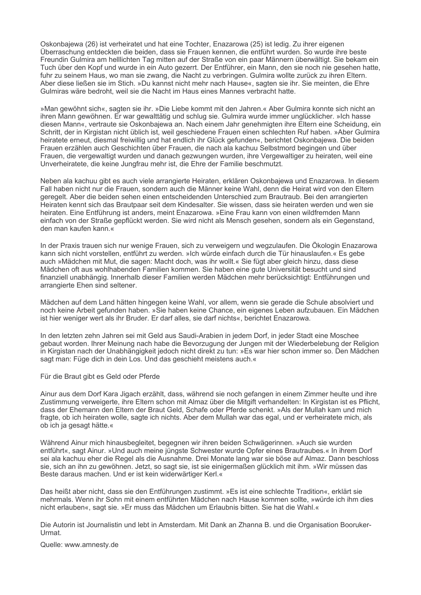Oskonbajewa (26) ist verheiratet und hat eine Tochter. Enazarowa (25) ist ledig. Zu ihrer eigenen Überraschung entdeckten die beiden, dass sie Frauen kennen, die entführt wurden. So wurde ihre beste Freundin Gulmira am helllichten Tag mitten auf der Straße von ein paar Männern überwältigt. Sie bekam ein Tuch über den Kopf und wurde in ein Auto gezerrt. Der Entführer, ein Mann, den sie noch nie gesehen hatte, fuhr zu seinem Haus, wo man sie zwang, die Nacht zu verbringen. Gulmira wollte zurück zu ihren Eltern. Aber diese ließen sie im Stich. »Du kannst nicht mehr nach Hause«, sagten sie ihr. Sie meinten, die Ehre Gulmiras wäre bedroht, weil sie die Nacht im Haus eines Mannes verbracht hatte.

»Man gewöhnt sich«, sagten sie ihr. »Die Liebe kommt mit den Jahren.« Aber Gulmira konnte sich nicht an ihren Mann gewöhnen. Er war gewalttätig und schlug sie. Gulmira wurde immer unglücklicher. »Ich hasse diesen Mann«, vertraute sie Oskonbajewa an. Nach einem Jahr genehmigten ihre Eltern eine Scheidung, ein Schritt, der in Kirgistan nicht üblich ist, weil geschiedene Frauen einen schlechten Ruf haben. »Aber Gulmira heiratete erneut, diesmal freiwillig und hat endlich ihr Glück gefunden«, berichtet Oskonbajewa. Die beiden Frauen erzählen auch Geschichten über Frauen, die nach ala kachuu Selbstmord begingen und über Frauen, die vergewaltigt wurden und danach gezwungen wurden, ihre Vergewaltiger zu heiraten, weil eine Unverheiratete, die keine Jungfrau mehr ist, die Ehre der Familie beschmutzt.

Neben ala kachuu gibt es auch viele arrangierte Heiraten, erklären Oskonbajewa und Enazarowa. In diesem Fall haben nicht nur die Frauen, sondern auch die Männer keine Wahl, denn die Heirat wird von den Eltern geregelt. Aber die beiden sehen einen entscheidenden Unterschied zum Brautraub. Bei den arrangierten Heiraten kennt sich das Brautpaar seit dem Kindesalter. Sie wissen, dass sie heiraten werden und wen sie heiraten. Eine Entführung ist anders, meint Enazarowa. »Eine Frau kann von einen wildfremden Mann einfach von der Straße gepflückt werden. Sie wird nicht als Mensch gesehen, sondern als ein Gegenstand, den man kaufen kann.«

In der Praxis trauen sich nur wenige Frauen, sich zu verweigern und wegzulaufen. Die Ökologin Enazarowa kann sich nicht vorstellen, entführt zu werden, »Ich würde einfach durch die Tür hinauslaufen, «Es gebe auch »Mädchen mit Mut, die sagen: Macht doch, was ihr wollt.« Sie fügt aber gleich hinzu, dass diese Mädchen oft aus wohlhabenden Familien kommen. Sie haben eine qute Universität besucht und sind finanziell unabhängig. Innerhalb dieser Familien werden Mädchen mehr berücksichtigt: Entführungen und arrangierte Ehen sind seltener.

Mädchen auf dem Land hätten hingegen keine Wahl, vor allem, wenn sie gerade die Schule absolviert und noch keine Arbeit gefunden haben. »Sie haben keine Chance, ein eigenes Leben aufzubauen. Ein Mädchen ist hier weniger wert als ihr Bruder. Er darf alles, sie darf nichts«, berichtet Enazarowa.

In den letzten zehn Jahren sei mit Geld aus Saudi-Arabien in jedem Dorf, in jeder Stadt eine Moschee gebaut worden. Ihrer Meinung nach habe die Bevorzugung der Jungen mit der Wiederbelebung der Religion in Kirgistan nach der Unabhängigkeit jedoch nicht direkt zu tun: »Es war hier schon immer so. Den Mädchen sagt man: Füge dich in dein Los. Und das geschieht meistens auch.«

Für die Braut gibt es Geld oder Pferde

Ainur aus dem Dorf Kara Jigach erzählt, dass, während sie noch gefangen in einem Zimmer heulte und ihre Zustimmung verweigerte, ihre Eltern schon mit Almaz über die Mitgift verhandelten: In Kirgistan ist es Pflicht, dass der Ehemann den Eltern der Braut Geld, Schafe oder Pferde schenkt. »Als der Mullah kam und mich fragte, ob ich heiraten wolle, sagte ich nichts. Aber dem Mullah war das egal, und er verheiratete mich, als ob ich ja gesagt hätte.«

Während Ainur mich hinausbegleitet, begegnen wir ihren beiden Schwägerinnen. »Auch sie wurden entführt«, sagt Ainur, »Und auch meine jüngste Schwester wurde Opfer eines Brautraubes,« In ihrem Dorf sei ala kachuu eher die Regel als die Ausnahme. Drei Monate lang war sie böse auf Almaz. Dann beschloss sie, sich an ihn zu gewöhnen. Jetzt, so sagt sie, ist sie einigermaßen glücklich mit ihm. »Wir müssen das Beste daraus machen. Und er ist kein widerwärtiger Kerl.«

Das heißt aber nicht, dass sie den Entführungen zustimmt, »Es ist eine schlechte Tradition«, erklärt sie mehrmals. Wenn ihr Sohn mit einem entführten Mädchen nach Hause kommen sollte, »würde ich ihm dies nicht erlauben«, sagt sie, »Er muss das Mädchen um Erlaubnis bitten. Sie hat die Wahl.«

Die Autorin ist Journalistin und lebt in Amsterdam. Mit Dank an Zhanna B. und die Organisation Booruker-Urmat.

Quelle: www.amnesty.de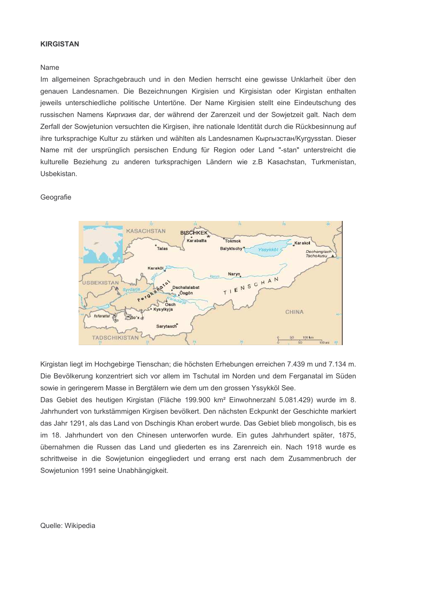## **KIRGISTAN**

#### Name

Im allgemeinen Sprachgebrauch und in den Medien herrscht eine gewisse Unklarheit über den genauen Landesnamen. Die Bezeichnungen Kirgisien und Kirgisistan oder Kirgistan enthalten jeweils unterschiedliche politische Untertöne. Der Name Kirgisien stellt eine Eindeutschung des russischen Namens Kuprusus dar, der während der Zarenzeit und der Sowjetzeit galt. Nach dem Zerfall der Sowjetunion versuchten die Kirgisen, ihre nationale Identität durch die Rückbesinnung auf ihre turksprachige Kultur zu stärken und wählten als Landesnamen Кыргызстан/Kyrgysstan. Dieser Name mit der ursprünglich persischen Endung für Region oder Land "-stan" unterstreicht die kulturelle Beziehung zu anderen turksprachigen Ländern wie z.B Kasachstan, Turkmenistan, Usbekistan.

# Geografie



Kirgistan liegt im Hochgebirge Tienschan; die höchsten Erhebungen erreichen 7.439 m und 7.134 m. Die Bevölkerung konzentriert sich vor allem im Tschutal im Norden und dem Ferganatal im Süden sowie in geringerem Masse in Bergtälern wie dem um den grossen Yssykköl See.

Das Gebiet des heutigen Kirgistan (Fläche 199.900 km<sup>2</sup> Einwohnerzahl 5.081.429) wurde im 8. Jahrhundert von turkstämmigen Kirgisen bevölkert. Den nächsten Eckpunkt der Geschichte markiert das Jahr 1291, als das Land von Dschingis Khan erobert wurde. Das Gebiet blieb mongolisch, bis es im 18. Jahrhundert von den Chinesen unterworfen wurde. Ein gutes Jahrhundert später, 1875, übernahmen die Russen das Land und gliederten es ins Zarenreich ein. Nach 1918 wurde es schrittweise in die Sowjetunion eingegliedert und errang erst nach dem Zusammenbruch der Sowjetunion 1991 seine Unabhängigkeit.

#### Quelle: Wikipedia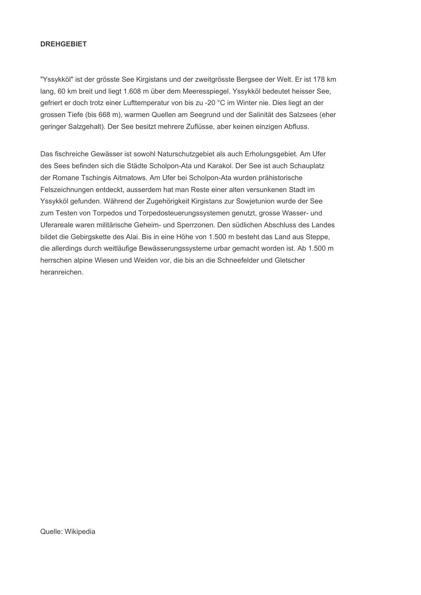# **DREHGEBIET**

"Yssykköl" ist der grösste See Kirgistans und der zweitgrösste Bergsee der Welt. Er ist 178 km lang, 60 km breit und liegt 1.608 m über dem Meeresspiegel. Yssykköl bedeutet heisser See. gefriert er doch trotz einer Lufttemperatur von bis zu -20 °C im Winter nie. Dies liegt an der grossen Tiefe (bis 668 m), warmen Quellen am Seegrund und der Salinität des Salzsees (eher geringer Salzgehalt). Der See besitzt mehrere Zuflüsse, aber keinen einzigen Abfluss.

Das fischreiche Gewässer ist sowohl Naturschutzgebiet als auch Erholungsgebiet. Am Ufer des Sees befinden sich die Städte Scholpon-Ata und Karakol. Der See ist auch Schauplatz der Romane Tschingis Aitmatows. Am Ufer bei Scholpon-Ata wurden prähistorische Felszeichnungen entdeckt, ausserdem hat man Reste einer alten versunkenen Stadt im Yssykköl gefunden. Während der Zugehörigkeit Kirgistans zur Sowjetunion wurde der See zum Testen von Torpedos und Torpedosteuerungssystemen genutzt, grosse Wasser- und Uferareale waren militärische Geheim- und Sperrzonen. Den südlichen Abschluss des Landes bildet die Gebirgskette des Alai. Bis in eine Höhe von 1.500 m besteht das Land aus Steppe, die allerdings durch weitläufige Bewässerungssysteme urbar gemacht worden ist. Ab 1.500 m herrschen alpine Wiesen und Weiden vor, die bis an die Schneefelder und Gletscher heranreichen.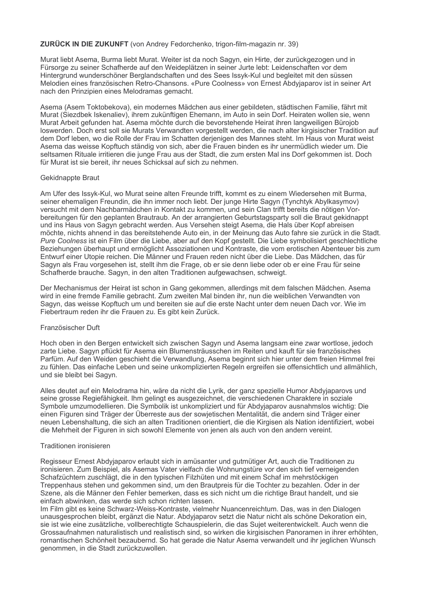# **ZURÜCK IN DIE ZUKUNFT** (von Andrey Fedorchenko, trigon-film-magazin nr. 39)

Murat liebt Asema, Burma liebt Murat, Weiter ist da noch Sagyn, ein Hirte, der zurückgezogen und in Fürsorge zu seiner Schafherde auf den Weideplätzen in seiner Jurte lebt: Leidenschaften vor dem Hintergrund wunderschöner Berglandschaften und des Sees Issyk-Kul und begleitet mit den süssen Melodien eines französischen Retro-Chansons, «Pure Coolness» von Ernest Abdyjaparov ist in seiner Art nach den Prinzipien eines Melodramas gemacht.

Asema (Asem Toktobekova), ein modernes Mädchen aus einer gebildeten, städtischen Familie, fährt mit Murat (Siezdbek Iskenaliev), ihrem zukünftigen Ehemann, im Auto in sein Dorf. Heiraten wollen sie, wenn Murat Arbeit gefunden hat. Asema möchte durch die bevorstehende Heirat ihren langweiligen Bürojob Joswerden. Doch erst soll sie Murats Verwandten vorgestellt werden, die nach alter kirgisischer Tradition auf dem Dorf leben, wo die Rolle der Frau im Schatten derjenigen des Mannes steht. Im Haus von Murat weist Asema das weisse Kopftuch ständig von sich, aber die Frauen binden es ihr unermüdlich wieder um. Die seltsamen Rituale irritieren die junge Frau aus der Stadt, die zum ersten Mal ins Dorf gekommen ist. Doch für Murat ist sie bereit, ihr neues Schicksal auf sich zu nehmen.

### Gekidnappte Braut

Am Ufer des Issyk-Kul, wo Murat seine alten Freunde trifft, kommt es zu einem Wiedersehen mit Burma, seiner ehemaligen Freundin, die ihn immer noch liebt. Der junge Hirte Sagyn (Tynchtyk Abylkasymov) versucht mit dem Nachbarmädchen in Kontakt zu kommen, und sein Clan trifft bereits die nötigen Vorbereitungen für den geplanten Brautraub. An der arrangierten Geburtstagsparty soll die Braut gekidnappt und ins Haus von Sagyn gebracht werden. Aus Versehen steigt Asema, die Hals über Kopf abreisen möchte, nichts ahnend in das bereitstehende Auto ein, in der Meinung das Auto fahre sie zurück in die Stadt. Pure Coolness ist ein Film über die Liebe, aber auf den Kopf gestellt. Die Liebe symbolisiert geschlechtliche Beziehungen überhaupt und ermöglicht Assoziationen und Kontraste, die vom erotischen Abenteuer bis zum Entwurf einer Utopie reichen. Die Männer und Frauen reden nicht über die Liebe. Das Mädchen, das für Sagyn als Frau vorgesehen ist, stellt ihm die Frage, ob er sie denn liebe oder ob er eine Frau für seine Schafherde brauche. Sagyn, in den alten Traditionen aufgewachsen, schweigt.

Der Mechanismus der Heirat ist schon in Gang gekommen, allerdings mit dem falschen Mädchen. Asema wird in eine fremde Familie gebracht. Zum zweiten Mal binden ihr, nun die weiblichen Verwandten von Sagyn, das weisse Kopftuch um und bereiten sie auf die erste Nacht unter dem neuen Dach vor. Wie im Fiebertraum reden ihr die Frauen zu. Es gibt kein Zurück.

# Französischer Duft

Hoch oben in den Bergen entwickelt sich zwischen Sagyn und Asema langsam eine zwar wortlose, jedoch zarte Liebe. Sagyn pflückt für Asema ein Blumensträusschen im Reiten und kauft für sie französisches Parfüm. Auf den Weiden geschieht die Verwandlung, Asema beginnt sich hier unter dem freien Himmel frei zu fühlen. Das einfache Leben und seine unkomplizierten Regeln ergreifen sie offensichtlich und allmählich, und sie bleibt bei Sagyn.

Alles deutet auf ein Melodrama hin, wäre da nicht die Lyrik, der ganz spezielle Humor Abdyjaparovs und seine grosse Regiefähigkeit. Ihm gelingt es ausgezeichnet, die verschiedenen Charaktere in soziale Symbole umzumodellieren. Die Symbolik ist unkompliziert und für Abdyjaparov ausnahmslos wichtig: Die einen Figuren sind Träger der Überreste aus der sowietischen Mentalität, die andern sind Träger einer neuen Lebenshaltung, die sich an alten Traditionen orientiert, die die Kirgisen als Nation identifiziert, wobei die Mehrheit der Figuren in sich sowohl Elemente von ienen als auch von den andern vereint.

### Traditionen ironisieren

Regisseur Ernest Abdyjaparov erlaubt sich in amüsanter und gutmütiger Art, auch die Traditionen zu ironisieren. Zum Beispiel, als Asemas Vater vielfach die Wohnungstüre vor den sich tief verneigenden Schafzüchtern zuschlägt, die in den typischen Filzhüten und mit einem Schaf im mehrstöckigen Treppenhaus stehen und gekommen sind, um den Brautpreis für die Tochter zu bezahlen. Oder in der Szene, als die Männer den Fehler bemerken, dass es sich nicht um die richtige Braut handelt, und sie einfach abwinken, das werde sich schon richten lassen.

Im Film gibt es keine Schwarz-Weiss-Kontraste, vielmehr Nuancenreichtum. Das, was in den Dialogen unausgesprochen bleibt, ergänzt die Natur. Abdyjaparov setzt die Natur nicht als schöne Dekoration ein, sie ist wie eine zusätzliche, vollberechtigte Schauspielerin, die das Suiet weiterentwickelt. Auch wenn die Grossaufnahmen naturalistisch und realistisch sind, so wirken die kirgisischen Panoramen in ihrer erhöhten, romantischen Schönheit bezaubernd. So hat gerade die Natur Asema verwandelt und ihr jeglichen Wunsch genommen, in die Stadt zurückzuwollen.